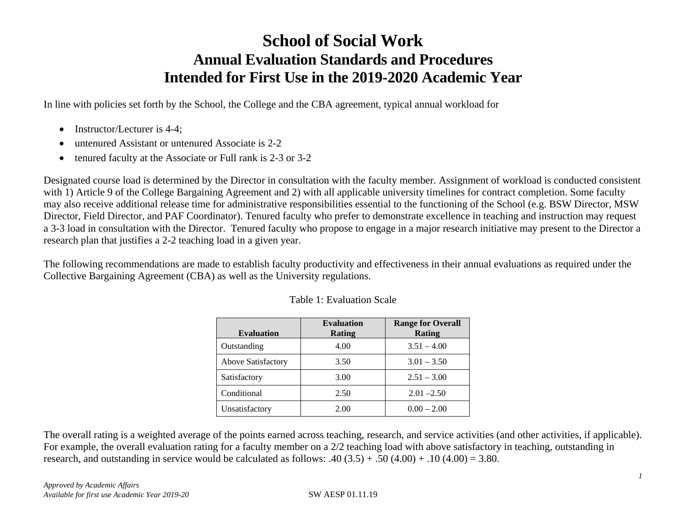# **School of Social Work Annual Evaluation Standards and Procedures Intended for First Use in the 2019-2020 Academic Year**

In line with policies set forth by the School, the College and the CBA agreement, typical annual workload for

- Instructor/Lecturer is 4-4;
- untenured Assistant or untenured Associate is 2-2
- tenured faculty at the Associate or Full rank is 2-3 or 3-2

Designated course load is determined by the Director in consultation with the faculty member. Assignment of workload is conducted consistent with 1) Article 9 of the College Bargaining Agreement and 2) with all applicable university timelines for contract completion. Some faculty may also receive additional release time for administrative responsibilities essential to the functioning of the School (e.g. BSW Director, MSW Director, Field Director, and PAF Coordinator). Tenured faculty who prefer to demonstrate excellence in teaching and instruction may request a 3-3 load in consultation with the Director. Tenured faculty who propose to engage in a major research initiative may present to the Director a research plan that justifies a 2-2 teaching load in a given year.

The following recommendations are made to establish faculty productivity and effectiveness in their annual evaluations as required under the Collective Bargaining Agreement (CBA) as well as the University regulations.

| <b>Evaluation</b>  | <b>Evaluation</b><br>Rating | <b>Range for Overall</b><br>Rating |
|--------------------|-----------------------------|------------------------------------|
| Outstanding        | 4.00                        | $3.51 - 4.00$                      |
| Above Satisfactory | 3.50                        | $3.01 - 3.50$                      |
| Satisfactory       | 3.00                        | $2.51 - 3.00$                      |
| Conditional        | 2.50                        | $2.01 - 2.50$                      |
| Unsatisfactory     | 2.00                        | $0.00 - 2.00$                      |

#### Table 1: Evaluation Scale

The overall rating is a weighted average of the points earned across teaching, research, and service activities (and other activities, if applicable). For example, the overall evaluation rating for a faculty member on a 2/2 teaching load with above satisfactory in teaching, outstanding in research, and outstanding in service would be calculated as follows:  $.40 (3.5) + .50 (4.00) + .10 (4.00) = 3.80$ .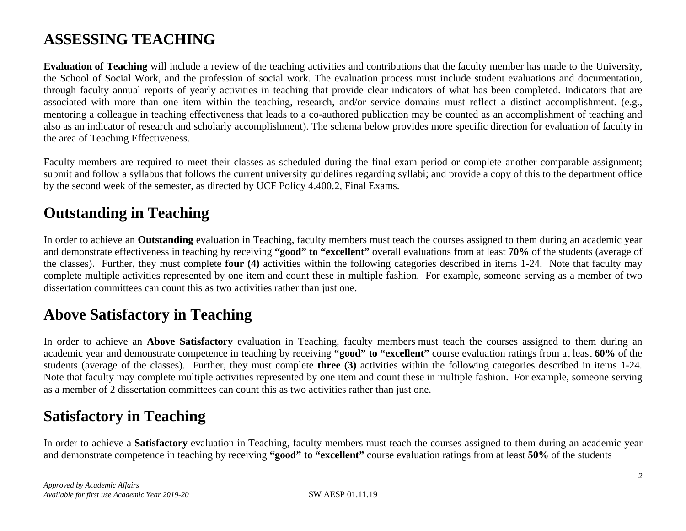# **ASSESSING TEACHING**

**Evaluation of Teaching** will include a review of the teaching activities and contributions that the faculty member has made to the University, the School of Social Work, and the profession of social work. The evaluation process must include student evaluations and documentation, through faculty annual reports of yearly activities in teaching that provide clear indicators of what has been completed. Indicators that are associated with more than one item within the teaching, research, and/or service domains must reflect a distinct accomplishment. (e.g., mentoring a colleague in teaching effectiveness that leads to a co-authored publication may be counted as an accomplishment of teaching and also as an indicator of research and scholarly accomplishment). The schema below provides more specific direction for evaluation of faculty in the area of Teaching Effectiveness.

Faculty members are required to meet their classes as scheduled during the final exam period or complete another comparable assignment; submit and follow a syllabus that follows the current university guidelines regarding syllabi; and provide a copy of this to the department office by the second week of the semester, as directed by UCF Policy 4.400.2, Final Exams.

### **Outstanding in Teaching**

In order to achieve an **Outstanding** evaluation in Teaching, faculty members must teach the courses assigned to them during an academic year and demonstrate effectiveness in teaching by receiving **"good" to "excellent"** overall evaluations from at least **70%** of the students (average of the classes). Further, they must complete **four (4)** activities within the following categories described in items 1-24. Note that faculty may complete multiple activities represented by one item and count these in multiple fashion. For example, someone serving as a member of two dissertation committees can count this as two activities rather than just one.

### **Above Satisfactory in Teaching**

In order to achieve an **Above Satisfactory** evaluation in Teaching, faculty members must teach the courses assigned to them during an academic year and demonstrate competence in teaching by receiving **"good" to "excellent"** course evaluation ratings from at least **60%** of the students (average of the classes). Further, they must complete **three (3)** activities within the following categories described in items 1-24. Note that faculty may complete multiple activities represented by one item and count these in multiple fashion. For example, someone serving as a member of 2 dissertation committees can count this as two activities rather than just one.

### **Satisfactory in Teaching**

In order to achieve a **Satisfactory** evaluation in Teaching, faculty members must teach the courses assigned to them during an academic year and demonstrate competence in teaching by receiving **"good" to "excellent"** course evaluation ratings from at least **50%** of the students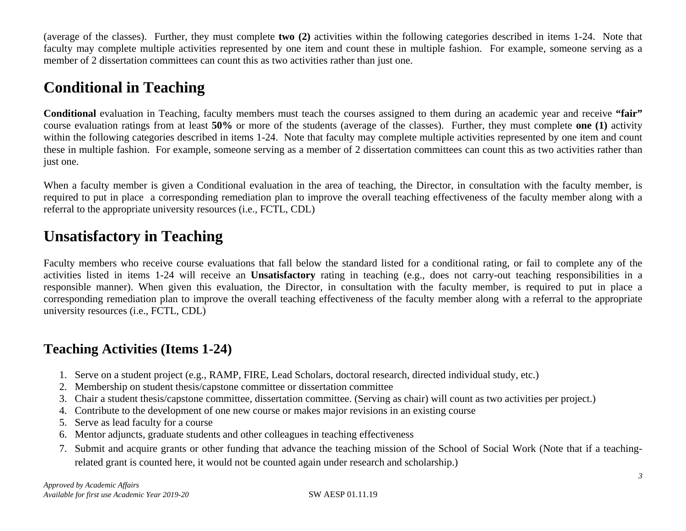(average of the classes). Further, they must complete **two (2)** activities within the following categories described in items 1-24. Note that faculty may complete multiple activities represented by one item and count these in multiple fashion. For example, someone serving as a member of 2 dissertation committees can count this as two activities rather than just one.

# **Conditional in Teaching**

**Conditional** evaluation in Teaching, faculty members must teach the courses assigned to them during an academic year and receive **"fair"** course evaluation ratings from at least **50%** or more of the students (average of the classes). Further, they must complete **one (1)** activity within the following categories described in items 1-24. Note that faculty may complete multiple activities represented by one item and count these in multiple fashion. For example, someone serving as a member of 2 dissertation committees can count this as two activities rather than just one.

When a faculty member is given a Conditional evaluation in the area of teaching, the Director, in consultation with the faculty member, is required to put in place a corresponding remediation plan to improve the overall teaching effectiveness of the faculty member along with a referral to the appropriate university resources (i.e., FCTL, CDL)

## **Unsatisfactory in Teaching**

Faculty members who receive course evaluations that fall below the standard listed for a conditional rating, or fail to complete any of the activities listed in items 1-24 will receive an **Unsatisfactory** rating in teaching (e.g., does not carry-out teaching responsibilities in a responsible manner). When given this evaluation, the Director, in consultation with the faculty member, is required to put in place a corresponding remediation plan to improve the overall teaching effectiveness of the faculty member along with a referral to the appropriate university resources (i.e., FCTL, CDL)

### **Teaching Activities (Items 1-24)**

- 1. Serve on a student project (e.g., RAMP, FIRE, Lead Scholars, doctoral research, directed individual study, etc.)
- 2. Membership on student thesis/capstone committee or dissertation committee
- 3. Chair a student thesis/capstone committee, dissertation committee. (Serving as chair) will count as two activities per project.)
- 4. Contribute to the development of one new course or makes major revisions in an existing course
- 5. Serve as lead faculty for a course
- 6. Mentor adjuncts, graduate students and other colleagues in teaching effectiveness
- 7. Submit and acquire grants or other funding that advance the teaching mission of the School of Social Work (Note that if a teachingrelated grant is counted here, it would not be counted again under research and scholarship.)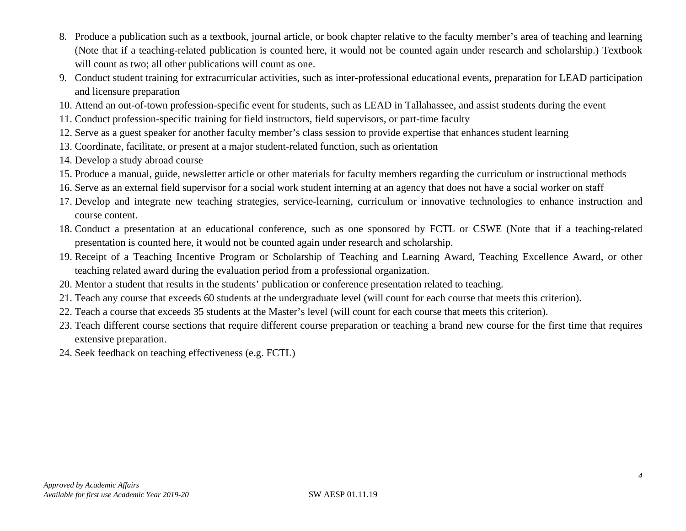- 8. Produce a publication such as a textbook, journal article, or book chapter relative to the faculty member's area of teaching and learning (Note that if a teaching-related publication is counted here, it would not be counted again under research and scholarship.) Textbook will count as two; all other publications will count as one.
- 9. Conduct student training for extracurricular activities, such as inter-professional educational events, preparation for LEAD participation and licensure preparation
- 10. Attend an out-of-town profession-specific event for students, such as LEAD in Tallahassee, and assist students during the event
- 11. Conduct profession-specific training for field instructors, field supervisors, or part-time faculty
- 12. Serve as a guest speaker for another faculty member's class session to provide expertise that enhances student learning
- 13. Coordinate, facilitate, or present at a major student-related function, such as orientation
- 14. Develop a study abroad course
- 15. Produce a manual, guide, newsletter article or other materials for faculty members regarding the curriculum or instructional methods
- 16. Serve as an external field supervisor for a social work student interning at an agency that does not have a social worker on staff
- 17. Develop and integrate new teaching strategies, service-learning, curriculum or innovative technologies to enhance instruction and course content.
- 18. Conduct a presentation at an educational conference, such as one sponsored by FCTL or CSWE (Note that if a teaching-related presentation is counted here, it would not be counted again under research and scholarship.
- 19. Receipt of a Teaching Incentive Program or Scholarship of Teaching and Learning Award, Teaching Excellence Award, or other teaching related award during the evaluation period from a professional organization.
- 20. Mentor a student that results in the students' publication or conference presentation related to teaching.
- 21. Teach any course that exceeds 60 students at the undergraduate level (will count for each course that meets this criterion).
- 22. Teach a course that exceeds 35 students at the Master's level (will count for each course that meets this criterion).
- 23. Teach different course sections that require different course preparation or teaching a brand new course for the first time that requires extensive preparation.
- 24. Seek feedback on teaching effectiveness (e.g. FCTL)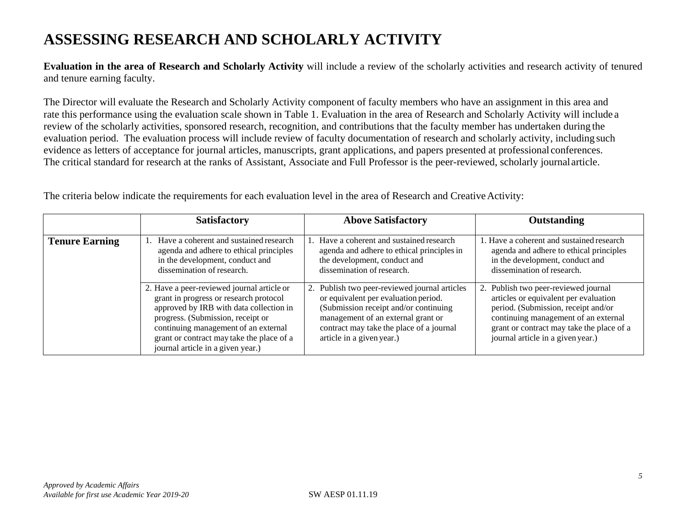# **ASSESSING RESEARCH AND SCHOLARLY ACTIVITY**

**Evaluation in the area of Research and Scholarly Activity** will include a review of the scholarly activities and research activity of tenured and tenure earning faculty.

The Director will evaluate the Research and Scholarly Activity component of faculty members who have an assignment in this area and rate this performance using the evaluation scale shown in Table 1. Evaluation in the area of Research and Scholarly Activity will include a review of the scholarly activities, sponsored research, recognition, and contributions that the faculty member has undertaken during the evaluation period. The evaluation process will include review of faculty documentation of research and scholarly activity, including such evidence as letters of acceptance for journal articles, manuscripts, grant applications, and papers presented at professional conferences. The critical standard for research at the ranks of Assistant, Associate and Full Professor is the peer-reviewed, scholarly journalarticle.

|                       | <b>Satisfactory</b>                                                                                                                                                                                                                                                                            | <b>Above Satisfactory</b>                                                                                                                                                                                                                        | <b>Outstanding</b>                                                                                                                                                                                                                             |
|-----------------------|------------------------------------------------------------------------------------------------------------------------------------------------------------------------------------------------------------------------------------------------------------------------------------------------|--------------------------------------------------------------------------------------------------------------------------------------------------------------------------------------------------------------------------------------------------|------------------------------------------------------------------------------------------------------------------------------------------------------------------------------------------------------------------------------------------------|
| <b>Tenure Earning</b> | Have a coherent and sustained research<br>agenda and adhere to ethical principles<br>in the development, conduct and<br>dissemination of research.                                                                                                                                             | Have a coherent and sustained research<br>agenda and adhere to ethical principles in<br>the development, conduct and<br>dissemination of research.                                                                                               | L. Have a coherent and sustained research<br>agenda and adhere to ethical principles<br>in the development, conduct and<br>dissemination of research.                                                                                          |
|                       | 2. Have a peer-reviewed journal article or<br>grant in progress or research protocol<br>approved by IRB with data collection in<br>progress. (Submission, receipt or<br>continuing management of an external<br>grant or contract may take the place of a<br>journal article in a given year.) | Publish two peer-reviewed journal articles<br>2.<br>or equivalent per evaluation period.<br>(Submission receipt and/or continuing<br>management of an external grant or<br>contract may take the place of a journal<br>article in a given year.) | 2. Publish two peer-reviewed journal<br>articles or equivalent per evaluation<br>period. (Submission, receipt and/or<br>continuing management of an external<br>grant or contract may take the place of a<br>journal article in a given year.) |

The criteria below indicate the requirements for each evaluation level in the area of Research and Creative Activity: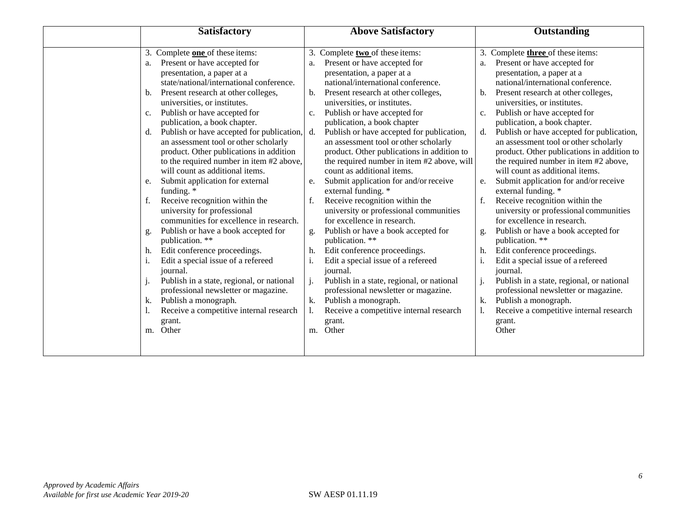| <b>Satisfactory</b> |                                           | <b>Above Satisfactory</b> |                                            | <b>Outstanding</b> |                                            |
|---------------------|-------------------------------------------|---------------------------|--------------------------------------------|--------------------|--------------------------------------------|
|                     |                                           |                           |                                            |                    |                                            |
| 3.                  | Complete <b>one</b> of these items:       | 3.                        | Complete two of these items:               |                    | 3. Complete three of these items:          |
| a.                  | Present or have accepted for              | a.                        | Present or have accepted for               | a.                 | Present or have accepted for               |
|                     | presentation, a paper at a                |                           | presentation, a paper at a                 |                    | presentation, a paper at a                 |
|                     | state/national/international conference.  |                           | national/international conference.         |                    | national/international conference.         |
| b.                  | Present research at other colleges,       | b.                        | Present research at other colleges,        | b.                 | Present research at other colleges,        |
|                     | universities, or institutes.              |                           | universities, or institutes.               |                    | universities, or institutes.               |
| c.                  | Publish or have accepted for              | c.                        | Publish or have accepted for               | c.                 | Publish or have accepted for               |
|                     | publication, a book chapter.              |                           | publication, a book chapter                |                    | publication, a book chapter.               |
| d.                  | Publish or have accepted for publication, | d.                        | Publish or have accepted for publication,  | d.                 | Publish or have accepted for publication,  |
|                     | an assessment tool or other scholarly     |                           | an assessment tool or other scholarly      |                    | an assessment tool or other scholarly      |
|                     | product. Other publications in addition   |                           | product. Other publications in addition to |                    | product. Other publications in addition to |
|                     | to the required number in item #2 above,  |                           | the required number in item #2 above, will |                    | the required number in item #2 above,      |
|                     | will count as additional items.           |                           | count as additional items.                 |                    | will count as additional items.            |
| e.                  | Submit application for external           | e.                        | Submit application for and/or receive      | e.                 | Submit application for and/or receive      |
|                     | funding. *                                |                           | external funding. *                        |                    | external funding. *                        |
| f.                  | Receive recognition within the            |                           | Receive recognition within the             | f.                 | Receive recognition within the             |
|                     | university for professional               |                           | university or professional communities     |                    | university or professional communities     |
|                     | communities for excellence in research.   |                           | for excellence in research.                |                    | for excellence in research.                |
| g.                  | Publish or have a book accepted for       | g.                        | Publish or have a book accepted for        | g.                 | Publish or have a book accepted for        |
|                     | publication. **                           |                           | publication. **                            |                    | publication. **                            |
| h.                  | Edit conference proceedings.              |                           | Edit conference proceedings.               | h.                 | Edit conference proceedings.               |
| 1.                  | Edit a special issue of a refereed        |                           | Edit a special issue of a refereed         |                    | Edit a special issue of a refereed         |
|                     | journal.                                  |                           | journal.                                   |                    | journal.                                   |
| $\mathbf{J}$        | Publish in a state, regional, or national | j.                        | Publish in a state, regional, or national  |                    | Publish in a state, regional, or national  |
|                     | professional newsletter or magazine.      |                           | professional newsletter or magazine.       |                    | professional newsletter or magazine.       |
| k.                  | Publish a monograph.                      |                           | Publish a monograph.                       | k.                 | Publish a monograph.                       |
| I.                  | Receive a competitive internal research   |                           | Receive a competitive internal research    |                    | Receive a competitive internal research    |
|                     | grant.                                    |                           | grant.                                     |                    | grant.                                     |
| m.                  | Other                                     | m.                        | Other                                      |                    | Other                                      |
|                     |                                           |                           |                                            |                    |                                            |
|                     |                                           |                           |                                            |                    |                                            |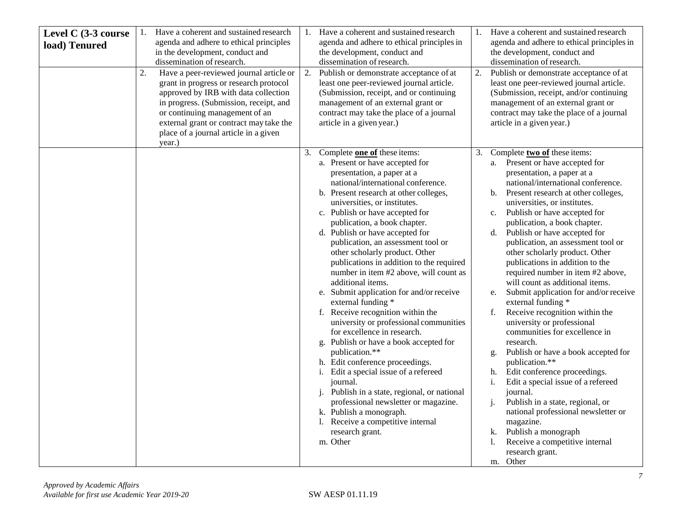| Level C (3-3 course<br>load) Tenured | 1.<br>2. | Have a coherent and sustained research<br>agenda and adhere to ethical principles<br>in the development, conduct and<br>dissemination of research.<br>Have a peer-reviewed journal article or<br>grant in progress or research protocol<br>approved by IRB with data collection<br>in progress. (Submission, receipt, and<br>or continuing management of an<br>external grant or contract may take the<br>place of a journal article in a given<br>year.) | 2. | Have a coherent and sustained research<br>agenda and adhere to ethical principles in<br>the development, conduct and<br>dissemination of research.<br>Publish or demonstrate acceptance of at<br>least one peer-reviewed journal article.<br>(Submission, receipt, and or continuing<br>management of an external grant or<br>contract may take the place of a journal<br>article in a given year.)                                                                                                                                                                                                                                                                                                                                                                                                                                                                                                                                                                                                                            | 1.<br>2. | Have a coherent and sustained research<br>agenda and adhere to ethical principles in<br>the development, conduct and<br>dissemination of research.<br>Publish or demonstrate acceptance of at<br>least one peer-reviewed journal article.<br>(Submission, receipt, and/or continuing<br>management of an external grant or<br>contract may take the place of a journal<br>article in a given year.)                                                                                                                                                                                                                                                                                                                                                                                                                                                                                                                                                                                                                                                               |
|--------------------------------------|----------|-----------------------------------------------------------------------------------------------------------------------------------------------------------------------------------------------------------------------------------------------------------------------------------------------------------------------------------------------------------------------------------------------------------------------------------------------------------|----|--------------------------------------------------------------------------------------------------------------------------------------------------------------------------------------------------------------------------------------------------------------------------------------------------------------------------------------------------------------------------------------------------------------------------------------------------------------------------------------------------------------------------------------------------------------------------------------------------------------------------------------------------------------------------------------------------------------------------------------------------------------------------------------------------------------------------------------------------------------------------------------------------------------------------------------------------------------------------------------------------------------------------------|----------|-------------------------------------------------------------------------------------------------------------------------------------------------------------------------------------------------------------------------------------------------------------------------------------------------------------------------------------------------------------------------------------------------------------------------------------------------------------------------------------------------------------------------------------------------------------------------------------------------------------------------------------------------------------------------------------------------------------------------------------------------------------------------------------------------------------------------------------------------------------------------------------------------------------------------------------------------------------------------------------------------------------------------------------------------------------------|
|                                      |          |                                                                                                                                                                                                                                                                                                                                                                                                                                                           | 3. | Complete one of these items:<br>a. Present or have accepted for<br>presentation, a paper at a<br>national/international conference.<br>b. Present research at other colleges,<br>universities, or institutes.<br>c. Publish or have accepted for<br>publication, a book chapter.<br>d. Publish or have accepted for<br>publication, an assessment tool or<br>other scholarly product. Other<br>publications in addition to the required<br>number in item #2 above, will count as<br>additional items.<br>e. Submit application for and/or receive<br>external funding *<br>f. Receive recognition within the<br>university or professional communities<br>for excellence in research.<br>g. Publish or have a book accepted for<br>publication.**<br>h. Edit conference proceedings.<br>i. Edit a special issue of a refereed<br>journal.<br>Publish in a state, regional, or national<br>professional newsletter or magazine.<br>k. Publish a monograph.<br>1. Receive a competitive internal<br>research grant.<br>m. Other | 3.       | Complete two of these items:<br>a. Present or have accepted for<br>presentation, a paper at a<br>national/international conference.<br>b. Present research at other colleges,<br>universities, or institutes.<br>Publish or have accepted for<br>c.<br>publication, a book chapter.<br>d. Publish or have accepted for<br>publication, an assessment tool or<br>other scholarly product. Other<br>publications in addition to the<br>required number in item #2 above,<br>will count as additional items.<br>Submit application for and/or receive<br>e.<br>external funding *<br>Receive recognition within the<br>f.<br>university or professional<br>communities for excellence in<br>research.<br>Publish or have a book accepted for<br>g.<br>publication.**<br>Edit conference proceedings.<br>h.<br>i.<br>Edit a special issue of a refereed<br>journal.<br>Publish in a state, regional, or<br>j.<br>national professional newsletter or<br>magazine.<br>Publish a monograph<br>k.<br>Receive a competitive internal<br>1.<br>research grant.<br>m. Other |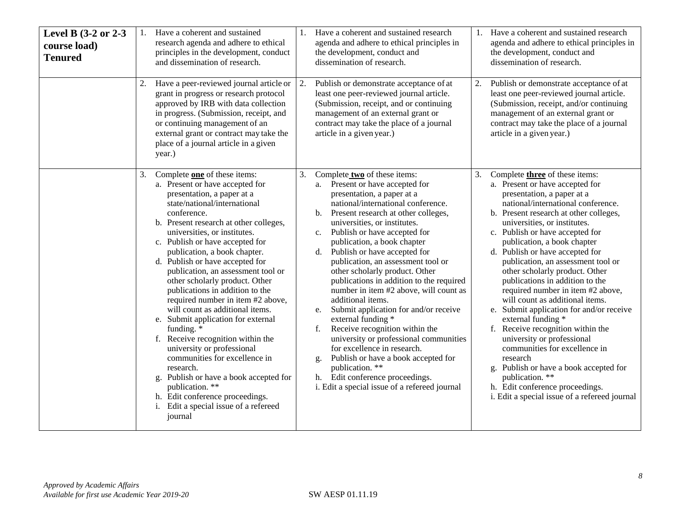| Level B (3-2 or 2-3<br>course load)<br><b>Tenured</b> | 2. | Have a coherent and sustained<br>research agenda and adhere to ethical<br>principles in the development, conduct<br>and dissemination of research.<br>Have a peer-reviewed journal article or<br>grant in progress or research protocol<br>approved by IRB with data collection<br>in progress. (Submission, receipt, and                                                                                                                                                                                                                                                                                                                                                                                                                                                                                                                | 2. | Have a coherent and sustained research<br>agenda and adhere to ethical principles in<br>the development, conduct and<br>dissemination of research.<br>Publish or demonstrate acceptance of at<br>least one peer-reviewed journal article.<br>(Submission, receipt, and or continuing<br>management of an external grant or                                                                                                                                                                                                                                                                                                                                                                                                                                                                                                                               | 2. | Have a coherent and sustained research<br>agenda and adhere to ethical principles in<br>the development, conduct and<br>dissemination of research.<br>Publish or demonstrate acceptance of at<br>least one peer-reviewed journal article.<br>(Submission, receipt, and/or continuing<br>management of an external grant or                                                                                                                                                                                                                                                                                                                                                                                                                                                                                                                        |
|-------------------------------------------------------|----|------------------------------------------------------------------------------------------------------------------------------------------------------------------------------------------------------------------------------------------------------------------------------------------------------------------------------------------------------------------------------------------------------------------------------------------------------------------------------------------------------------------------------------------------------------------------------------------------------------------------------------------------------------------------------------------------------------------------------------------------------------------------------------------------------------------------------------------|----|----------------------------------------------------------------------------------------------------------------------------------------------------------------------------------------------------------------------------------------------------------------------------------------------------------------------------------------------------------------------------------------------------------------------------------------------------------------------------------------------------------------------------------------------------------------------------------------------------------------------------------------------------------------------------------------------------------------------------------------------------------------------------------------------------------------------------------------------------------|----|---------------------------------------------------------------------------------------------------------------------------------------------------------------------------------------------------------------------------------------------------------------------------------------------------------------------------------------------------------------------------------------------------------------------------------------------------------------------------------------------------------------------------------------------------------------------------------------------------------------------------------------------------------------------------------------------------------------------------------------------------------------------------------------------------------------------------------------------------|
|                                                       |    | or continuing management of an<br>external grant or contract may take the<br>place of a journal article in a given<br>year.)                                                                                                                                                                                                                                                                                                                                                                                                                                                                                                                                                                                                                                                                                                             |    | contract may take the place of a journal<br>article in a given year.)                                                                                                                                                                                                                                                                                                                                                                                                                                                                                                                                                                                                                                                                                                                                                                                    |    | contract may take the place of a journal<br>article in a given year.)                                                                                                                                                                                                                                                                                                                                                                                                                                                                                                                                                                                                                                                                                                                                                                             |
|                                                       | 3. | Complete one of these items:<br>a. Present or have accepted for<br>presentation, a paper at a<br>state/national/international<br>conference.<br>b. Present research at other colleges,<br>universities, or institutes.<br>c. Publish or have accepted for<br>publication, a book chapter.<br>d. Publish or have accepted for<br>publication, an assessment tool or<br>other scholarly product. Other<br>publications in addition to the<br>required number in item #2 above,<br>will count as additional items.<br>e. Submit application for external<br>funding. *<br>f. Receive recognition within the<br>university or professional<br>communities for excellence in<br>research.<br>g. Publish or have a book accepted for<br>publication. **<br>h. Edit conference proceedings.<br>i. Edit a special issue of a refereed<br>journal | 3. | Complete two of these items:<br>a. Present or have accepted for<br>presentation, a paper at a<br>national/international conference.<br>Present research at other colleges,<br>b.<br>universities, or institutes.<br>Publish or have accepted for<br>c.<br>publication, a book chapter<br>Publish or have accepted for<br>d.<br>publication, an assessment tool or<br>other scholarly product. Other<br>publications in addition to the required<br>number in item #2 above, will count as<br>additional items.<br>Submit application for and/or receive<br>e.<br>external funding *<br>Receive recognition within the<br>f.<br>university or professional communities<br>for excellence in research.<br>Publish or have a book accepted for<br>g.<br>publication. **<br>h. Edit conference proceedings.<br>i. Edit a special issue of a refereed journal | 3. | Complete <b>three</b> of these items:<br>a. Present or have accepted for<br>presentation, a paper at a<br>national/international conference.<br>b. Present research at other colleges,<br>universities, or institutes.<br>c. Publish or have accepted for<br>publication, a book chapter<br>d. Publish or have accepted for<br>publication, an assessment tool or<br>other scholarly product. Other<br>publications in addition to the<br>required number in item #2 above,<br>will count as additional items.<br>e. Submit application for and/or receive<br>external funding *<br>f. Receive recognition within the<br>university or professional<br>communities for excellence in<br>research<br>g. Publish or have a book accepted for<br>publication. **<br>h. Edit conference proceedings.<br>i. Edit a special issue of a refereed journal |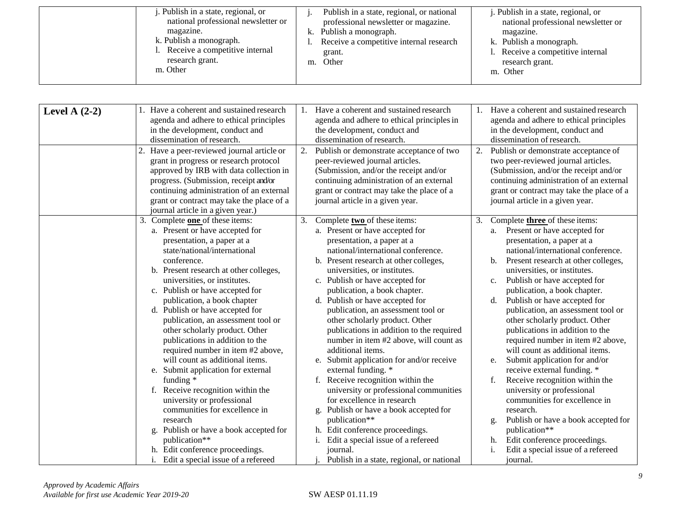| . Publish in a state, regional, or  | Publish in a state, regional, or national | <i>i</i> . Publish in a state, regional, or |
|-------------------------------------|-------------------------------------------|---------------------------------------------|
| national professional newsletter or | professional newsletter or magazine.      | national professional newsletter or         |
| magazine.                           | Publish a monograph.<br>k.                | magazine.                                   |
| k. Publish a monograph.             | Receive a competitive internal research   | k. Publish a monograph.                     |
| 1. Receive a competitive internal   | grant.                                    | 1. Receive a competitive internal           |
| research grant.                     | Other<br>m.                               | research grant.                             |
| m. Other                            |                                           | m. Other                                    |

| Level A $(2-2)$ | Have a coherent and sustained research<br>agenda and adhere to ethical principles<br>in the development, conduct and<br>dissemination of research.                                                                                                                                                                                                                                                                                                                                                                                                                                                                                                                                                                                                 | Have a coherent and sustained research<br>1.<br>agenda and adhere to ethical principles in<br>the development, conduct and<br>dissemination of research.                                                                                                                                                                                                                                                                                                                                                                                                                                                                                                                                                                                                                                                                               | Have a coherent and sustained research<br>1.<br>agenda and adhere to ethical principles<br>in the development, conduct and<br>dissemination of research.                                                                                                                                                                                                                                                                                                                                                                                                                                                                                                                                                                                                                                                                       |
|-----------------|----------------------------------------------------------------------------------------------------------------------------------------------------------------------------------------------------------------------------------------------------------------------------------------------------------------------------------------------------------------------------------------------------------------------------------------------------------------------------------------------------------------------------------------------------------------------------------------------------------------------------------------------------------------------------------------------------------------------------------------------------|----------------------------------------------------------------------------------------------------------------------------------------------------------------------------------------------------------------------------------------------------------------------------------------------------------------------------------------------------------------------------------------------------------------------------------------------------------------------------------------------------------------------------------------------------------------------------------------------------------------------------------------------------------------------------------------------------------------------------------------------------------------------------------------------------------------------------------------|--------------------------------------------------------------------------------------------------------------------------------------------------------------------------------------------------------------------------------------------------------------------------------------------------------------------------------------------------------------------------------------------------------------------------------------------------------------------------------------------------------------------------------------------------------------------------------------------------------------------------------------------------------------------------------------------------------------------------------------------------------------------------------------------------------------------------------|
|                 | 2. Have a peer-reviewed journal article or<br>grant in progress or research protocol<br>approved by IRB with data collection in<br>progress. (Submission, receipt and/or<br>continuing administration of an external<br>grant or contract may take the place of a<br>journal article in a given year.)                                                                                                                                                                                                                                                                                                                                                                                                                                             | Publish or demonstrate acceptance of two<br>2.<br>peer-reviewed journal articles.<br>(Submission, and/or the receipt and/or<br>continuing administration of an external<br>grant or contract may take the place of a<br>journal article in a given year.                                                                                                                                                                                                                                                                                                                                                                                                                                                                                                                                                                               | Publish or demonstrate acceptance of<br>2.<br>two peer-reviewed journal articles.<br>(Submission, and/or the receipt and/or<br>continuing administration of an external<br>grant or contract may take the place of a<br>journal article in a given year.                                                                                                                                                                                                                                                                                                                                                                                                                                                                                                                                                                       |
|                 | 3. Complete one of these items:<br>a. Present or have accepted for<br>presentation, a paper at a<br>state/national/international<br>conference.<br>b. Present research at other colleges,<br>universities, or institutes.<br>c. Publish or have accepted for<br>publication, a book chapter<br>d. Publish or have accepted for<br>publication, an assessment tool or<br>other scholarly product. Other<br>publications in addition to the<br>required number in item #2 above,<br>will count as additional items.<br>e. Submit application for external<br>funding *<br>f. Receive recognition within the<br>university or professional<br>communities for excellence in<br>research<br>Publish or have a book accepted for<br>g.<br>publication** | 3.<br>Complete two of these items:<br>a. Present or have accepted for<br>presentation, a paper at a<br>national/international conference.<br>b. Present research at other colleges,<br>universities, or institutes.<br>c. Publish or have accepted for<br>publication, a book chapter.<br>d. Publish or have accepted for<br>publication, an assessment tool or<br>other scholarly product. Other<br>publications in addition to the required<br>number in item #2 above, will count as<br>additional items.<br>e. Submit application for and/or receive<br>external funding. *<br>f. Receive recognition within the<br>university or professional communities<br>for excellence in research<br>g. Publish or have a book accepted for<br>publication**<br>h. Edit conference proceedings.<br>Edit a special issue of a refereed<br>i. | Complete three of these items:<br>3.<br>Present or have accepted for<br>a.<br>presentation, a paper at a<br>national/international conference.<br>Present research at other colleges,<br>$\mathbf{b}$ .<br>universities, or institutes.<br>Publish or have accepted for<br>c.<br>publication, a book chapter.<br>Publish or have accepted for<br>d.<br>publication, an assessment tool or<br>other scholarly product. Other<br>publications in addition to the<br>required number in item #2 above,<br>will count as additional items.<br>Submit application for and/or<br>e.<br>receive external funding. *<br>Receive recognition within the<br>university or professional<br>communities for excellence in<br>research.<br>Publish or have a book accepted for<br>g.<br>publication**<br>Edit conference proceedings.<br>h. |
|                 | h. Edit conference proceedings.<br>Edit a special issue of a refereed                                                                                                                                                                                                                                                                                                                                                                                                                                                                                                                                                                                                                                                                              | journal.<br>Publish in a state, regional, or national                                                                                                                                                                                                                                                                                                                                                                                                                                                                                                                                                                                                                                                                                                                                                                                  | Edit a special issue of a refereed<br>i.<br>journal.                                                                                                                                                                                                                                                                                                                                                                                                                                                                                                                                                                                                                                                                                                                                                                           |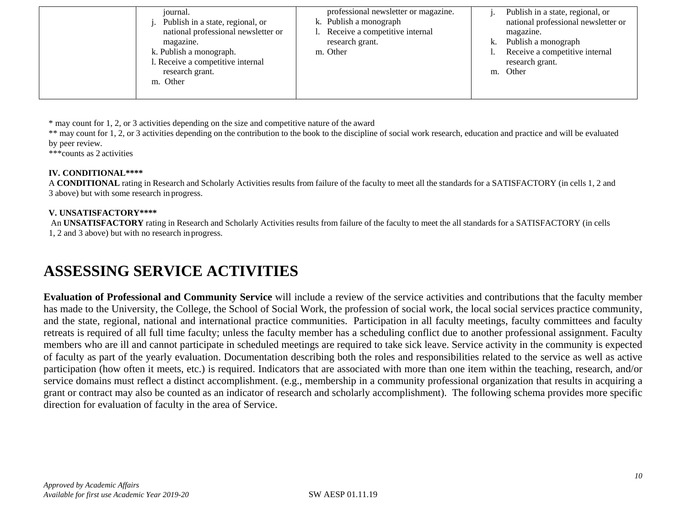| journal.<br>Publish in a state, regional, or<br>national professional newsletter or<br>magazine.<br>k. Publish a monograph.<br>1. Receive a competitive internal<br>research grant.<br>m. Other | professional newsletter or magazine.<br>k. Publish a monograph<br>Receive a competitive internal<br>research grant.<br>m. Other | k.<br>m. | Publish in a state, regional, or<br>national professional newsletter or<br>magazine.<br>Publish a monograph<br>Receive a competitive internal<br>research grant.<br>Other |
|-------------------------------------------------------------------------------------------------------------------------------------------------------------------------------------------------|---------------------------------------------------------------------------------------------------------------------------------|----------|---------------------------------------------------------------------------------------------------------------------------------------------------------------------------|
|                                                                                                                                                                                                 |                                                                                                                                 |          |                                                                                                                                                                           |

\* may count for 1, 2, or 3 activities depending on the size and competitive nature of the award

\*\* may count for 1, 2, or 3 activities depending on the contribution to the book to the discipline of social work research, education and practice and will be evaluated by peer review.

\*\*\*counts as 2 activities

#### **IV. CONDITIONAL\*\*\*\***

A **CONDITIONAL** rating in Research and Scholarly Activities results from failure of the faculty to meet all the standards for a SATISFACTORY (in cells 1, 2 and 3 above) but with some research in progress.

#### **V. UNSATISFACTORY\*\*\*\***

An **UNSATISFACTORY** rating in Research and Scholarly Activities results from failure of the faculty to meet the all standards for a SATISFACTORY (in cells 1, 2 and 3 above) but with no research in progress.

### **ASSESSING SERVICE ACTIVITIES**

**Evaluation of Professional and Community Service** will include a review of the service activities and contributions that the faculty member has made to the University, the College, the School of Social Work, the profession of social work, the local social services practice community, and the state, regional, national and international practice communities. Participation in all faculty meetings, faculty committees and faculty retreats is required of all full time faculty; unless the faculty member has a scheduling conflict due to another professional assignment. Faculty members who are ill and cannot participate in scheduled meetings are required to take sick leave. Service activity in the community is expected of faculty as part of the yearly evaluation. Documentation describing both the roles and responsibilities related to the service as well as active participation (how often it meets, etc.) is required. Indicators that are associated with more than one item within the teaching, research, and/or service domains must reflect a distinct accomplishment. (e.g., membership in a community professional organization that results in acquiring a grant or contract may also be counted as an indicator of research and scholarly accomplishment). The following schema provides more specific direction for evaluation of faculty in the area of Service.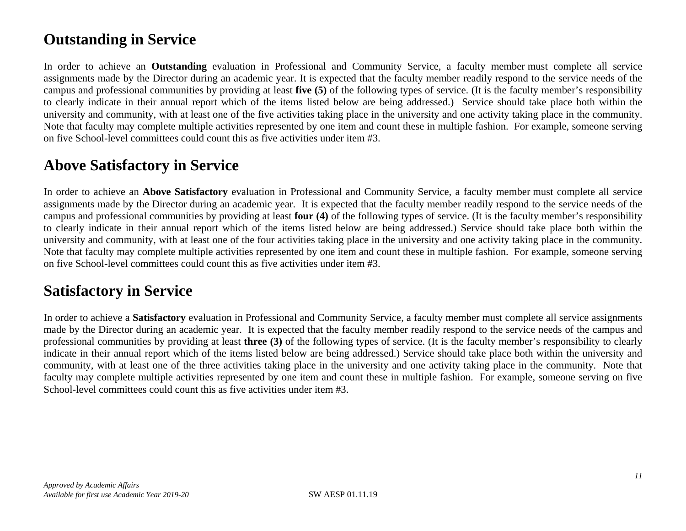## **Outstanding in Service**

In order to achieve an **Outstanding** evaluation in Professional and Community Service, a faculty member must complete all service assignments made by the Director during an academic year. It is expected that the faculty member readily respond to the service needs of the campus and professional communities by providing at least **five (5)** of the following types of service. (It is the faculty member's responsibility to clearly indicate in their annual report which of the items listed below are being addressed.) Service should take place both within the university and community, with at least one of the five activities taking place in the university and one activity taking place in the community. Note that faculty may complete multiple activities represented by one item and count these in multiple fashion. For example, someone serving on five School-level committees could count this as five activities under item #3.

### **Above Satisfactory in Service**

In order to achieve an **Above Satisfactory** evaluation in Professional and Community Service, a faculty member must complete all service assignments made by the Director during an academic year. It is expected that the faculty member readily respond to the service needs of the campus and professional communities by providing at least **four (4)** of the following types of service. (It is the faculty member's responsibility to clearly indicate in their annual report which of the items listed below are being addressed.) Service should take place both within the university and community, with at least one of the four activities taking place in the university and one activity taking place in the community. Note that faculty may complete multiple activities represented by one item and count these in multiple fashion. For example, someone serving on five School-level committees could count this as five activities under item #3.

### **Satisfactory in Service**

In order to achieve a **Satisfactory** evaluation in Professional and Community Service, a faculty member must complete all service assignments made by the Director during an academic year. It is expected that the faculty member readily respond to the service needs of the campus and professional communities by providing at least **three (3)** of the following types of service. (It is the faculty member's responsibility to clearly indicate in their annual report which of the items listed below are being addressed.) Service should take place both within the university and community, with at least one of the three activities taking place in the university and one activity taking place in the community. Note that faculty may complete multiple activities represented by one item and count these in multiple fashion. For example, someone serving on five School-level committees could count this as five activities under item #3.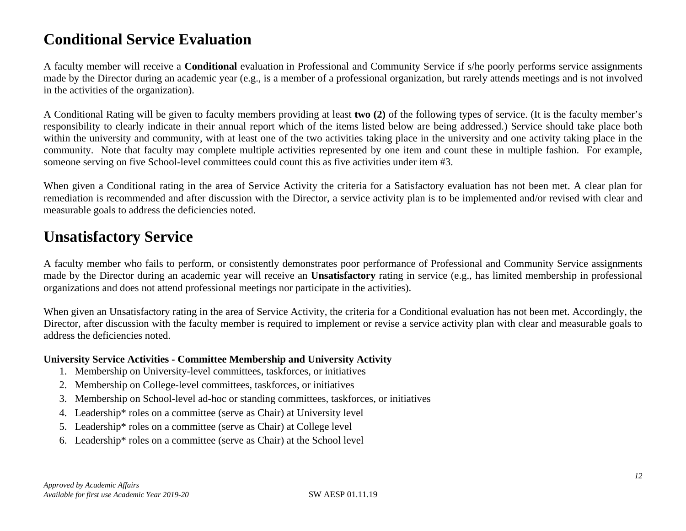## **Conditional Service Evaluation**

A faculty member will receive a **Conditional** evaluation in Professional and Community Service if s/he poorly performs service assignments made by the Director during an academic year (e.g., is a member of a professional organization, but rarely attends meetings and is not involved in the activities of the organization).

A Conditional Rating will be given to faculty members providing at least **two (2)** of the following types of service. (It is the faculty member's responsibility to clearly indicate in their annual report which of the items listed below are being addressed.) Service should take place both within the university and community, with at least one of the two activities taking place in the university and one activity taking place in the community. Note that faculty may complete multiple activities represented by one item and count these in multiple fashion. For example, someone serving on five School-level committees could count this as five activities under item #3.

When given a Conditional rating in the area of Service Activity the criteria for a Satisfactory evaluation has not been met. A clear plan for remediation is recommended and after discussion with the Director, a service activity plan is to be implemented and/or revised with clear and measurable goals to address the deficiencies noted.

### **Unsatisfactory Service**

A faculty member who fails to perform, or consistently demonstrates poor performance of Professional and Community Service assignments made by the Director during an academic year will receive an **Unsatisfactory** rating in service (e.g., has limited membership in professional organizations and does not attend professional meetings nor participate in the activities).

When given an Unsatisfactory rating in the area of Service Activity, the criteria for a Conditional evaluation has not been met. Accordingly, the Director, after discussion with the faculty member is required to implement or revise a service activity plan with clear and measurable goals to address the deficiencies noted.

### **University Service Activities - Committee Membership and University Activity**

- 1. Membership on University-level committees, taskforces, or initiatives
- 2. Membership on College-level committees, taskforces, or initiatives
- 3. Membership on School-level ad-hoc or standing committees, taskforces, or initiatives
- 4. Leadership\* roles on a committee (serve as Chair) at University level
- 5. Leadership\* roles on a committee (serve as Chair) at College level
- 6. Leadership\* roles on a committee (serve as Chair) at the School level